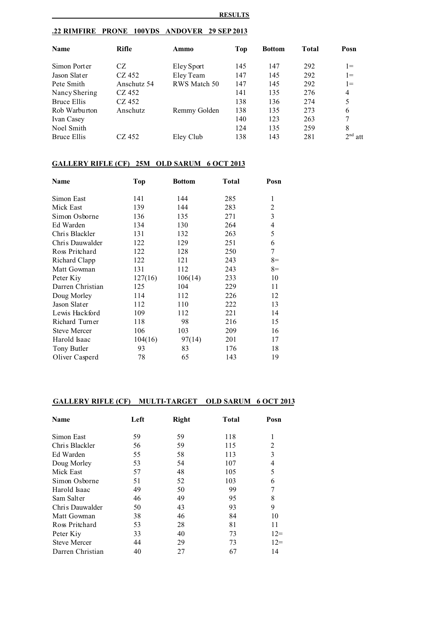#### **RESULTS**

# **.22 RIMFIRE PRONE 100YDS ANDOVER 29 SEP 2013**

| <b>Name</b>   | Rifle       | Ammo         | Top | <b>Bottom</b> | <b>Total</b> | Posn           |
|---------------|-------------|--------------|-----|---------------|--------------|----------------|
| Simon Porter  | CZ          | Eley Sport   | 145 | 147           | 292          | $1 =$          |
| Jason Slater  | CZ 452      | Eley Team    | 147 | 145           | 292          | $1 =$          |
| Pete Smith    | Anschutz 54 | RWS Match 50 | 147 | 145           | 292          | $1 =$          |
| Nancy Shering | CZ 452      |              | 141 | 135           | 276          | $\overline{4}$ |
| Bruce Ellis   | CZ 452      |              | 138 | 136           | 274          | 5              |
| Rob Warburton | Anschutz    | Remmy Golden | 138 | 135           | 273          | 6              |
| Ivan Casey    |             |              | 140 | 123           | 263          |                |
| Noel Smith    |             |              | 124 | 135           | 259          | 8              |
| Bruce Ellis   | CZ 452      | Eley Club    | 138 | 143           | 281          | $2nd$ att      |

# **GALLERY RIFLE (CF) 25M OLD SARUM 6 OCT 2013**

| Name                | <b>Top</b> | <b>Bottom</b> | <b>Total</b> | Posn |
|---------------------|------------|---------------|--------------|------|
| Simon East          | 141        | 144           | 285          | 1    |
| Mick East           | 139        | 144           | 283          | 2    |
| Simon Osborne       | 136        | 135           | 271          | 3    |
| Ed Warden           | 134        | 130           | 264          | 4    |
| Chris Blackler      | 131        | 132           | 263          | 5    |
| Chris Dauwalder     | 122        | 129           | 251          | 6    |
| Ross Pritchard      | 122        | 128           | 250          | 7    |
| Richard Clapp       | 122        | 121           | 243          | $8=$ |
| Matt Gowman         | 131        | 112           | 243          | $8=$ |
| Peter Kiy           | 127(16)    | 106(14)       | 233          | 10   |
| Darren Christian    | 125        | 104           | 229          | 11   |
| Doug Morley         | 114        | 112           | 226          | 12   |
| Jason Slater        | 112        | 110           | 222          | 13   |
| Lewis Hackford      | 109        | 112           | 221          | 14   |
| Richard Turner      | 118        | 98            | 216          | 15   |
| <b>Steve Mercer</b> | 106        | 103           | 209          | 16   |
| Harold Isaac        | 104(16)    | 97(14)        | 201          | 17   |
| Tony Butler         | 93         | 83            | 176          | 18   |
| Oliver Casperd      | 78         | 65            | 143          | 19   |

# **GALLERY RIFLE (CF) MULTI-TARGET OLD SARUM 6 OCT 2013**

| <b>Name</b>         | Left | <b>Right</b> | <b>Total</b> | Posn  |
|---------------------|------|--------------|--------------|-------|
| Simon East          | 59   | 59           | 118          |       |
| Chris Blackler      | 56   | 59           | 115          | 2     |
| Ed Warden           | 55   | 58           | 113          | 3     |
| Doug Morley         | 53   | 54           | 107          | 4     |
| Mick East           | 57   | 48           | 105          | 5     |
| Simon Osborne       | 51   | 52           | 103          | 6     |
| Harold Isaac        | 49   | 50           | 99           |       |
| Sam Salter          | 46   | 49           | 95           | 8     |
| Chris Dauwalder     | 50   | 43           | 93           | 9     |
| Matt Gowman         | 38   | 46           | 84           | 10    |
| Ross Pritchard      | 53   | 28           | 81           | 11    |
| Peter Kiy           | 33   | 40           | 73           | $12=$ |
| <b>Steve Mercer</b> | 44   | 29           | 73           | $12=$ |
| Darren Christian    | 40   | 27           | 67           | 14    |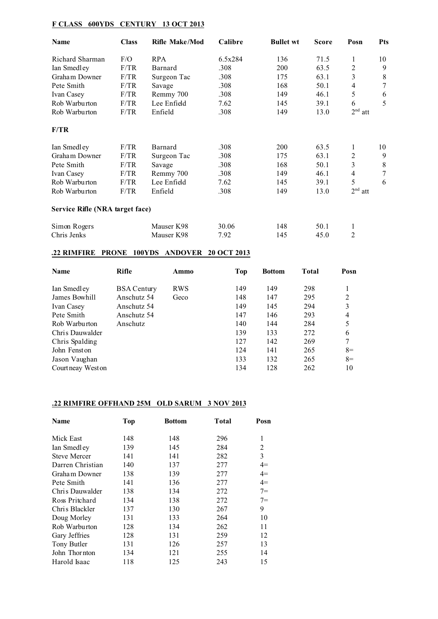# **F CLASS 600YDS CENTURY 13 OCT 2013**

| Name                            | <b>Class</b> | <b>Rifle Make/Mod</b> | Calibre | <b>Bullet wt</b> | <b>Score</b> | Posn      | <b>Pts</b> |
|---------------------------------|--------------|-----------------------|---------|------------------|--------------|-----------|------------|
| Richard Sharman                 | F/O          | <b>RPA</b>            | 6.5x284 | 136              | 71.5         | 1         | 10         |
| Ian Smedley                     | F/TR         | Barnard               | .308    | 200              | 63.5         | 2         | 9          |
| Graham Downer                   | F/TR         | Surgeon Tac           | .308    | 175              | 63.1         | 3         | 8          |
| Pete Smith                      | F/TR         | Savage                | .308    | 168              | 50.1         | 4         | 7          |
| Ivan Casey                      | F/TR         | Remmy 700             | .308    | 149              | 46.1         | 5         | 6          |
| Rob Warburton                   | F/TR         | Lee Enfield           | 7.62    | 145              | 39.1         | 6         | 5          |
| Rob Warburton                   | F/TR         | Enfield               | .308    | 149              | 13.0         | $2nd$ att |            |
| F/TR                            |              |                       |         |                  |              |           |            |
| Ian Smedley                     | F/TR         | Barnard               | .308    | <b>200</b>       | 63.5         | 1         | 10         |
| Graham Downer                   | F/TR         | Surgeon Tac           | .308    | 175              | 63.1         | 2         | 9          |
| Pete Smith                      | F/TR         | Savage                | .308    | 168              | 50.1         | 3         | 8          |
| Ivan Casey                      | F/TR         | Remmy 700             | .308    | 149              | 46.1         | 4         | $\tau$     |
| Rob Warburton                   | F/TR         | Lee Enfield           | 7.62    | 145              | 39.1         | 5         | 6          |
| Rob Warburton                   | F/TR         | Enfield               | .308    | 149              | 13.0         | $2nd$ att |            |
| Service Rifle (NRA target face) |              |                       |         |                  |              |           |            |
| Simon Rogers                    |              | Mauser K98            | 30.06   | 148              | 50.1         | 1         |            |
| Chris Jenks                     |              | Mauser K98            | 7.92    | 145              | 45.0         | 2         |            |

#### **.22 RIMFIRE PRONE 100YDS ANDOVER 20 OCT 2013**

| <b>Name</b>        | Rifle              | Ammo       | Top | <b>Bottom</b> | <b>Total</b> | Posn           |
|--------------------|--------------------|------------|-----|---------------|--------------|----------------|
| Ian Smedley        | <b>BSA Century</b> | <b>RWS</b> | 149 | 149           | 298          |                |
| James Bowhill      | Anschutz 54        | Geco       | 148 | 147           | 295          | 2              |
| Ivan Casey         | Anschutz 54        |            | 149 | 145           | 294          | 3              |
| Pete Smith         | Anschutz 54        |            | 147 | 146           | 293          | $\overline{4}$ |
| Rob Warburton      | Anschutz           |            | 140 | 144           | 284          | 5              |
| Chris Dauwalder    |                    |            | 139 | 133           | 272          | 6              |
| Chris Spalding     |                    |            | 127 | 142           | 269          | 7              |
| John Fenston       |                    |            | 124 | 141           | 265          | $8=$           |
| Jason Vaughan      |                    |            | 133 | 132           | 265          | $8=$           |
| Court neay West on |                    |            | 134 | 128           | 262          | 10             |

# **.22 RIMFIRE OFFHAND 25M OLD SARUM 3 NOV 2013**

| Name                | Top | <b>Bottom</b> | Total | Posn  |
|---------------------|-----|---------------|-------|-------|
| Mick East           | 148 | 148           | 296   | 1     |
| Ian Smedley         | 139 | 145           | 284   | 2     |
| <b>Steve Mercer</b> | 141 | 141           | 282   | 3     |
| Darren Christian    | 140 | 137           | 277   | $4=$  |
| Graham Downer       | 138 | 139           | 277   | $4=$  |
| Pete Smith          | 141 | 136           | 277   | $4=$  |
| Chris Dauwalder     | 138 | 134           | 272   | $7=$  |
| Ross Pritchard      | 134 | 138           | 272   | $7 =$ |
| Chris Blackler      | 137 | 130           | 267   | 9     |
| Doug Morley         | 131 | 133           | 264   | 10    |
| Rob Warburton       | 128 | 134           | 262   | 11    |
| Gary Jeffries       | 128 | 131           | 259   | 12    |
| Tony Butler         | 131 | 126           | 257   | 13    |
| John Thornton       | 134 | 121           | 255   | 14    |
| Harold Isaac        | 118 | 125           | 243   | 15    |